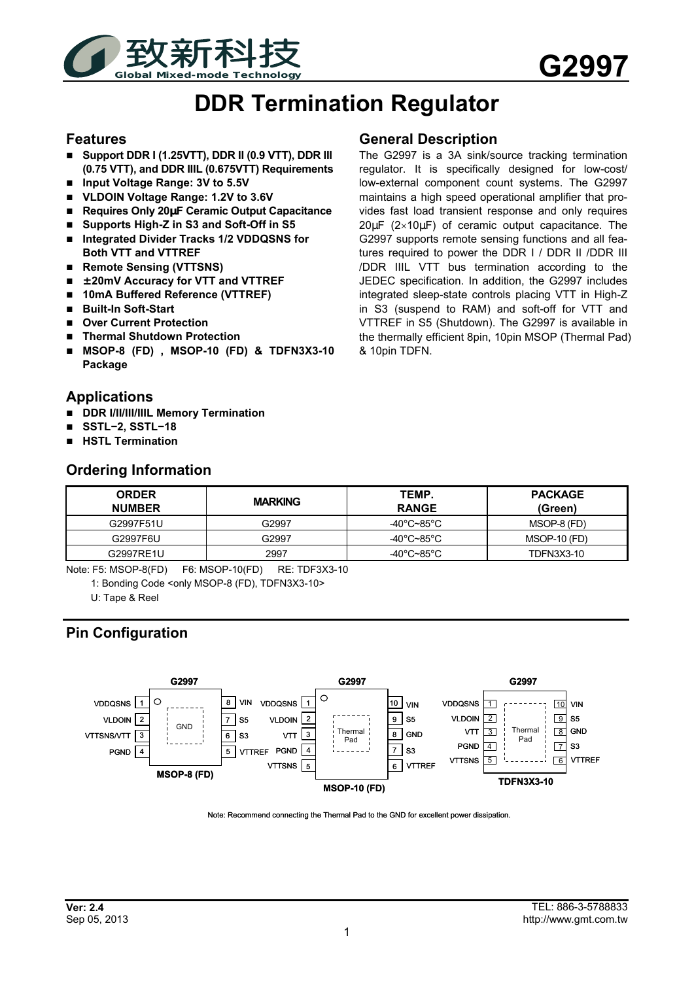

# **DDR Termination Regulator**

#### **Features**

- **Support DDR I (1.25VTT), DDR II (0.9 VTT), DDR III (0.75 VTT), and DDR IIIL (0.675VTT) Requirements**
- Input Voltage Range: 3V to 5.5V
- **VLDOIN Voltage Range: 1.2V to 3.6V**
- Requires Only 20µF Ceramic Output Capacitance
- **Supports High-Z in S3 and Soft-Off in S5**
- **Integrated Divider Tracks 1/2 VDDQSNS for Both VTT and VTTREF**
- Remote Sensing (VTTSNS)
- **±20mV Accuracy for VTT and VTTREF**
- 10mA Buffered Reference (VTTREF)
- Built-In Soft-Start
- **Over Current Protection**
- **Thermal Shutdown Protection**
- **MSOP-8 (FD) , MSOP-10 (FD) & TDFN3X3-10 Package**

#### **Applications**

- **DDR I/II/III/IIIL Memory Termination**
- **SSTL−2, SSTL−18**
- **HSTL Termination**

#### **Ordering Information**

#### **General Description**

The G2997 is a 3A sink/source tracking termination regulator. It is specifically designed for low-cost/ low-external component count systems. The G2997 maintains a high speed operational amplifier that provides fast load transient response and only requires 20µF (2×10µF) of ceramic output capacitance. The G2997 supports remote sensing functions and all features required to power the DDR I / DDR II / DDR III /DDR IIIL VTT bus termination according to the JEDEC specification. In addition, the G2997 includes integrated sleep-state controls placing VTT in High-Z in S3 (suspend to RAM) and soft-off for VTT and VTTREF in S5 (Shutdown). The G2997 is available in the thermally efficient 8pin, 10pin MSOP (Thermal Pad) & 10pin TDFN.

| <b>ORDER</b><br><b>NUMBER</b> | <b>MARKING</b> | TEMP.<br><b>RANGE</b> | <b>PACKAGE</b><br>(Green) |
|-------------------------------|----------------|-----------------------|---------------------------|
| G2997F51U                     | G2997          | -40°C~85°C            | MSOP-8 (FD)               |
| G2997F6U                      | G2997          | -40°C~85°C            | MSOP-10 (FD)              |
| G2997RE1U                     | 2997           | -40°C~85°C            | <b>TDFN3X3-10</b>         |

Note: F5: MSOP-8(FD) F6: MSOP-10(FD) RE: TDF3X3-10

1: Bonding Code <only MSOP-8 (FD), TDFN3X3-10>

U: Tape & Reel

# **Pin Configuration**



Note: Recommend connecting the Thermal Pad to the GND for excellent power dissipation.